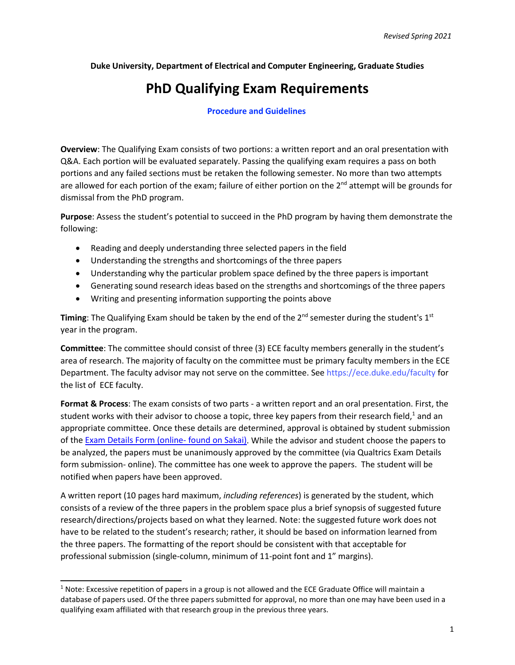**Duke University, Department of Electrical and Computer Engineering, Graduate Studies**

## **PhD Qualifying Exam Requirements**

## **Procedure and Guidelines**

**Overview**: The Qualifying Exam consists of two portions: a written report and an oral presentation with Q&A. Each portion will be evaluated separately. Passing the qualifying exam requires a pass on both portions and any failed sections must be retaken the following semester. No more than two attempts are allowed for each portion of the exam; failure of either portion on the 2<sup>nd</sup> attempt will be grounds for dismissal from the PhD program.

**Purpose**: Assess the student's potential to succeed in the PhD program by having them demonstrate the following:

- Reading and deeply understanding three selected papers in the field
- Understanding the strengths and shortcomings of the three papers
- Understanding why the particular problem space defined by the three papers is important
- Generating sound research ideas based on the strengths and shortcomings of the three papers
- Writing and presenting information supporting the points above

Timing: The Qualifying Exam should be taken by the end of the 2<sup>nd</sup> semester during the student's 1<sup>st</sup> year in the program.

**Committee**: The committee should consist of three (3) ECE faculty members generally in the student's area of research. The majority of faculty on the committee must be primary faculty members in the ECE Department. The faculty advisor may not serve on the committee. See [https://ece.duke.edu/faculty f](https://ece.duke.edu/faculty)or the list of ECE faculty.

**Format & Process**: The exam consists of two parts - a written report and an oral presentation. First, the student works with their advisor to choose a topic, three key papers from their research field, $<sup>1</sup>$  and an</sup> appropriate committee. Once these details are determined, approval is obtained by student submission of the [Exam Details Form \(online-](https://duke.qualtrics.com/jfe/form/SV_bygP2d2XkuLX1gp) found on Sakai). While the advisor and student choose the papers to be analyzed, the papers must be unanimously approved by the committee (via Qualtrics Exam Details form submission- online). The committee has one week to approve the papers. The student will be notified when papers have been approved.

A written report (10 pages hard maximum, *including references*) is generated by the student, which consists of a review of the three papers in the problem space plus a brief synopsis of suggested future research/directions/projects based on what they learned. Note: the suggested future work does not have to be related to the student's research; rather, it should be based on information learned from the three papers. The formatting of the report should be consistent with that acceptable for professional submission (single-column, minimum of 11-point font and 1" margins).

<span id="page-0-0"></span> $1$  Note: Excessive repetition of papers in a group is not allowed and the ECE Graduate Office will maintain a database of papers used. Of the three papers submitted for approval, no more than one may have been used in a qualifying exam affiliated with that research group in the previous three years.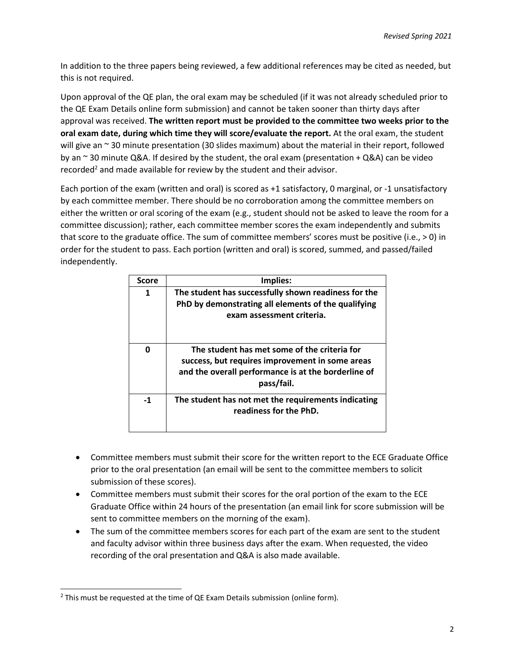In addition to the three papers being reviewed, a few additional references may be cited as needed, but this is not required.

Upon approval of the QE plan, the oral exam may be scheduled (if it was not already scheduled prior to the QE Exam Details online form submission) and cannot be taken sooner than thirty days after approval was received. **The written report must be provided to the committee two weeks prior to the oral exam date, during which time they will score/evaluate the report.** At the oral exam, the student will give an ~ 30 minute presentation (30 slides maximum) about the material in their report, followed by an  $\sim$  30 minute Q&A. If desired by the student, the oral exam (presentation + Q&A) can be video recorded<sup>2</sup> and made available for review by the student and their advisor.

Each portion of the exam (written and oral) is scored as +1 satisfactory, 0 marginal, or -1 unsatisfactory by each committee member. There should be no corroboration among the committee members on either the written or oral scoring of the exam (e.g., student should not be asked to leave the room for a committee discussion); rather, each committee member scores the exam independently and submits that score to the graduate office. The sum of committee members' scores must be positive (i.e., > 0) in order for the student to pass. Each portion (written and oral) is scored, summed, and passed/failed independently.

| <b>Score</b> | Implies:                                                                                                                                                             |
|--------------|----------------------------------------------------------------------------------------------------------------------------------------------------------------------|
| 1            | The student has successfully shown readiness for the<br>PhD by demonstrating all elements of the qualifying<br>exam assessment criteria.                             |
| በ            | The student has met some of the criteria for<br>success, but requires improvement in some areas<br>and the overall performance is at the borderline of<br>pass/fail. |
| $-1$         | The student has not met the requirements indicating<br>readiness for the PhD.                                                                                        |

- Committee members must submit their score for the written report to the ECE Graduate Office prior to the oral presentation (an email will be sent to the committee members to solicit submission of these scores).
- Committee members must submit their scores for the oral portion of the exam to the ECE Graduate Office within 24 hours of the presentation (an email link for score submission will be sent to committee members on the morning of the exam).
- The sum of the committee members scores for each part of the exam are sent to the student and faculty advisor within three business days after the exam. When requested, the video recording of the oral presentation and Q&A is also made available.

<span id="page-1-0"></span> $2$  This must be requested at the time of QE Exam Details submission (online form).